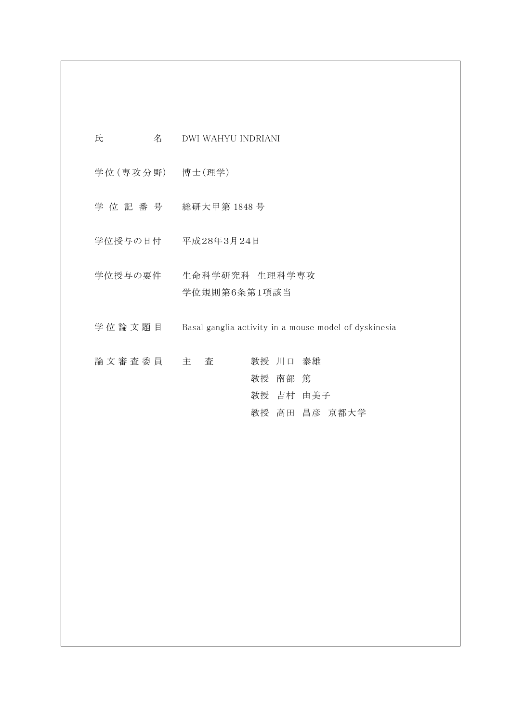| 氏<br>名           | DWI WAHYU INDRIANI                                    |
|------------------|-------------------------------------------------------|
| 学位 (専攻分野) 博士(理学) |                                                       |
|                  | 学 位 記 番 号 総研大甲第 1848 号                                |
|                  | 学位授与の日付 平成28年3月24日                                    |
| 学位授与の要件          | 生命科学研究科 生理科学専攻<br>学位規則第6条第1項該当                        |
| 学位論文題目           | Basal ganglia activity in a mouse model of dyskinesia |
| 論文審査委員 主 査       | 教授 川口 泰雄<br>教授 南部 篤<br>教授 吉村 由美子<br>教授 高田 昌彦 京都大学     |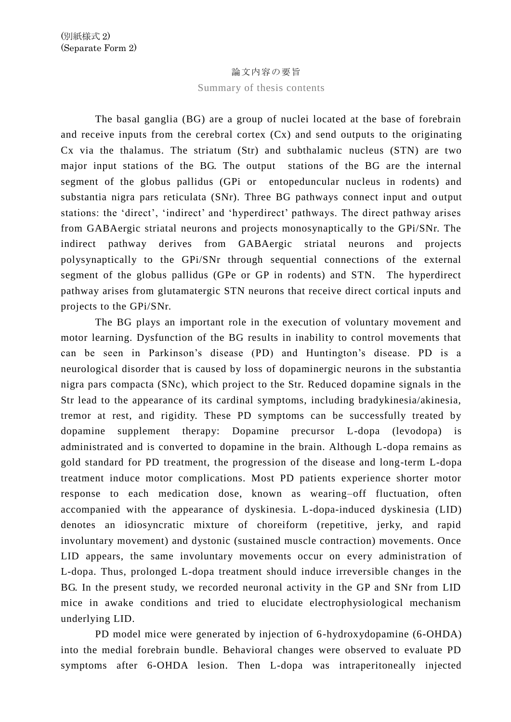## 論文内容の要旨

## Summary of thesis contents

The basal ganglia (BG) are a group of nuclei located at the base of forebrain and receive inputs from the cerebral cortex (Cx) and send outputs to the originating Cx via the thalamus. The striatum (Str) and subthalamic nucleus (STN) are two major input stations of the BG. The output stations of the BG are the internal segment of the globus pallidus (GPi or entopeduncular nucleus in rodents) and substantia nigra pars reticulata (SNr). Three BG pathways connect input and o utput stations: the 'direct', 'indirect' and 'hyperdirect' pathways. The direct pathway arises from GABAergic striatal neurons and projects monosynaptically to the GPi/SNr. The indirect pathway derives from GABAergic striatal neurons and projects polysynaptically to the GPi/SNr through sequential connections of the external segment of the globus pallidus (GPe or GP in rodents) and STN. The hyperdirect pathway arises from glutamatergic STN neurons that receive direct cortical inputs and projects to the GPi/SNr.

The BG plays an important role in the execution of voluntary movement and motor learning. Dysfunction of the BG results in inability to control movements that can be seen in Parkinson's disease (PD) and Huntington's disease. PD is a neurological disorder that is caused by loss of dopaminergic neurons in the substantia nigra pars compacta (SNc), which project to the Str. Reduced dopamine signals in the Str lead to the appearance of its cardinal symptoms, including bradykinesia/akinesia, tremor at rest, and rigidity. These PD symptoms can be successfully treated by dopamine supplement therapy: Dopamine precursor L-dopa (levodopa) is administrated and is converted to dopamine in the brain. Although L-dopa remains as gold standard for PD treatment, the progression of the disease and long-term L-dopa treatment induce motor complications. Most PD patients experience shorter motor response to each medication dose, known as wearing–off fluctuation, often accompanied with the appearance of dyskinesia. L-dopa-induced dyskinesia (LID) denotes an idiosyncratic mixture of choreiform (repetitive, jerky, and rapid involuntary movement) and dystonic (sustained muscle contraction) movements. Once LID appears, the same involuntary movements occur on every administration of L-dopa. Thus, prolonged L-dopa treatment should induce irreversible changes in the BG. In the present study, we recorded neuronal activity in the GP and SNr from LID mice in awake conditions and tried to elucidate electrophysiological mechanism underlying LID.

PD model mice were generated by injection of 6-hydroxydopamine (6-OHDA) into the medial forebrain bundle. Behavioral changes were observed to evaluate PD symptoms after 6-OHDA lesion. Then L-dopa was intraperitoneally injected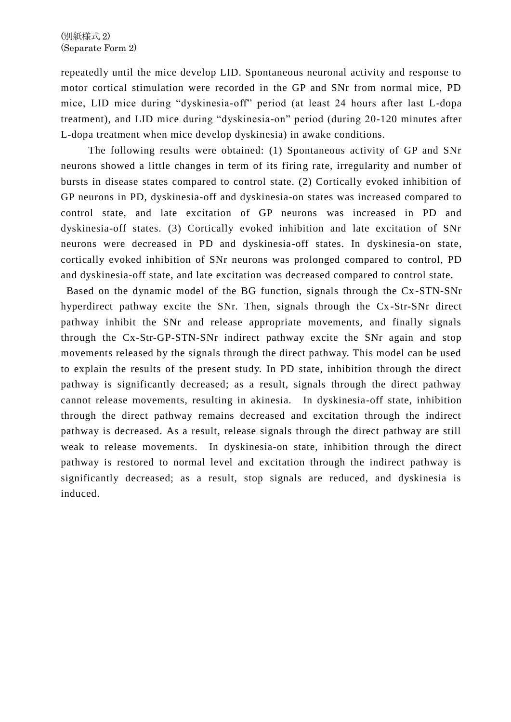repeatedly until the mice develop LID. Spontaneous neuronal activity and response to motor cortical stimulation were recorded in the GP and SNr from normal mice, PD mice, LID mice during "dyskinesia-off" period (at least 24 hours after last L-dopa treatment), and LID mice during "dyskinesia-on" period (during 20-120 minutes after L-dopa treatment when mice develop dyskinesia) in awake conditions.

The following results were obtained: (1) Spontaneous activity of GP and SNr neurons showed a little changes in term of its firing rate, irregularity and number of bursts in disease states compared to control state. (2) Cortically evoked inhibition of GP neurons in PD, dyskinesia-off and dyskinesia-on states was increased compared to control state, and late excitation of GP neurons was increased in PD and dyskinesia-off states. (3) Cortically evoked inhibition and late excitation of SNr neurons were decreased in PD and dyskinesia-off states. In dyskinesia-on state, cortically evoked inhibition of SNr neurons was prolonged compared to control, PD and dyskinesia-off state, and late excitation was decreased compared to control state.

Based on the dynamic model of the BG function, signals through the Cx -STN-SNr hyperdirect pathway excite the SNr. Then, signals through the Cx -Str-SNr direct pathway inhibit the SNr and release appropriate movements, and finally signals through the Cx-Str-GP-STN-SNr indirect pathway excite the SNr again and stop movements released by the signals through the direct pathway. This model can be used to explain the results of the present study. In PD state, inhibition through the direct pathway is significantly decreased; as a result, signals through the direct pathway cannot release movements, resulting in akinesia. In dyskinesia-off state, inhibition through the direct pathway remains decreased and excitation through the indirect pathway is decreased. As a result, release signals through the direct pathway are still weak to release movements. In dyskinesia-on state, inhibition through the direct pathway is restored to normal level and excitation through the indirect pathway is significantly decreased; as a result, stop signals are reduced, and dyskinesia is induced.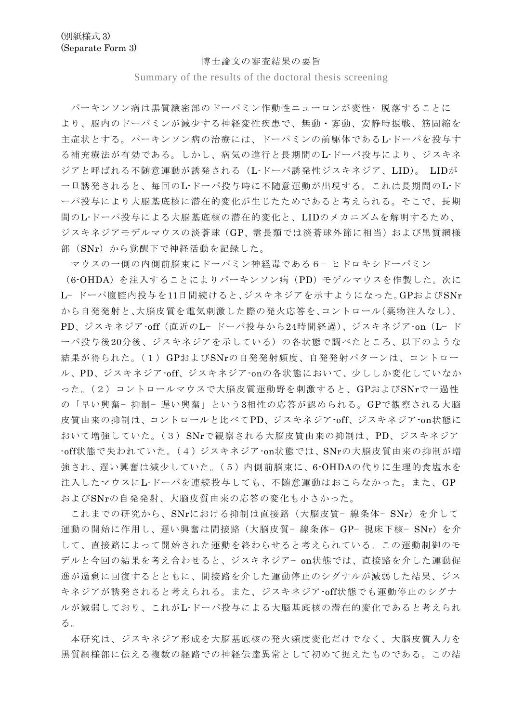## 博士論文の審査結果の要旨

Summary of the results of the doctoral thesis screening

パーキンソン病は黒質緻密部のドーパミン作動性ニューロンが変性 • 脱落することに より、脳内のドーパミンが減少する神経変性疾患で、無動・寡動、安静時振戦、筋固縮を 主症状とする。パーキンソン病の治療には、ドーパミンの前駆体であるL-ドーパを投与す る補充療法が有効である。しかし、病気の進行と長期間のL-ドーパ投与により、ジスキネ ジアと呼ばれる不随意運動が誘発される(L-ドーパ誘発性ジスキネジア、LID)。 LIDが 一旦誘発されると、毎回のL-ドーパ投与時に不随意運動が出現する。これは長期間のL-ド ーパ投与により大脳基底核に潜在的変化が生じたためであると考えられる。そこで、長期 間のL-ドーパ投与による大脳基底核の潜在的変化と、LIDのメカニズムを解明するため、 ジスキネジアモデルマウスの淡蒼球(GP、霊長類では淡蒼球外節に相当)および黒質網様 部(SNr)から覚醒下で神経活動を記録した。

マウスの一側の内側前脳束にドーパミン神経毒である6 − ヒドロキシドーパミン (6-OHDA)を注入することによりパーキンソン病(PD)モデルマウスを作製した。次に L− ドーパ腹腔内投与を11日間続けると、ジスキネジアを示すようになった。GPおよびSNr から自発発射と、大脳皮質を電気刺激した際の発火応答を、コントロール(薬物注入なし)、 PD、ジスキネジア-off(直近のL− ドーパ投与から24時間経過)、ジスキネジア-on(L− ド ーパ投与後20分後、ジスキネジアを示している)の各状態で調べたところ、以下のような 結果が得られた。(1)GPおよびSNrの自発発射頻度、自発発射パターンは、コントロー ル、PD、ジスキネジア-off、ジスキネジア-onの各状態において、少ししか変化していなか った。(2) コントロールマウスで大脳皮質運動野を刺激すると、GPおよびSNrで一過性 の「早い興奮- 抑制- 遅い興奮」という3相性の応答が認められる。GPで観察される大脳 皮質由来の抑制は、コントロールと比べてPD、ジスキネジア-off、ジスキネジア-on状態に おいて増強していた。(3)SNrで観察される大脳皮質由来の抑制は、PD、ジスキネジア -off状態で失われていた。(4)ジスキネジア-on状態では、SNrの大脳皮質由来の抑制が増 強され、遅い興奮は減少していた。(5)内側前脳束に、6-OHDAの代りに生理的食塩水を 注入したマウスにL-ドーパを連続投与しても、不随意運動はおこらなかった。また、GP およびSNrの自発発射、大脳皮質由来の応答の変化も小さかった。

これまでの研究から、SNrにおける抑制は直接路(大脳皮質-線条体-SNr)を介して 運動の開始に作用し、遅い興奮は間接路(大脳皮質-線条体- GP- 視床下核- SNr)を介 して、直接路によって開始された運動を終わらせると考えられている。この運動制御のモ デルと今回の結果を考え合わせると、ジスキネジア- on状態では、直接路を介した運動促 進が過剰に回復するとともに、間接路を介した運動停止のシグナルが減弱した結果、ジス キネジアが誘発されると考えられる。また、ジスキネジア-off状態でも運動停止のシグナ ルが減弱しており、これがL-ドーパ投与による大脳基底核の潜在的変化であると考えられ る。

本研究は、ジスキネジア形成を大脳基底核の発火頻度変化だけでなく、大脳皮質入力を 黒質網様部に伝える複数の経路での神経伝達異常として初めて捉えたものである。この結